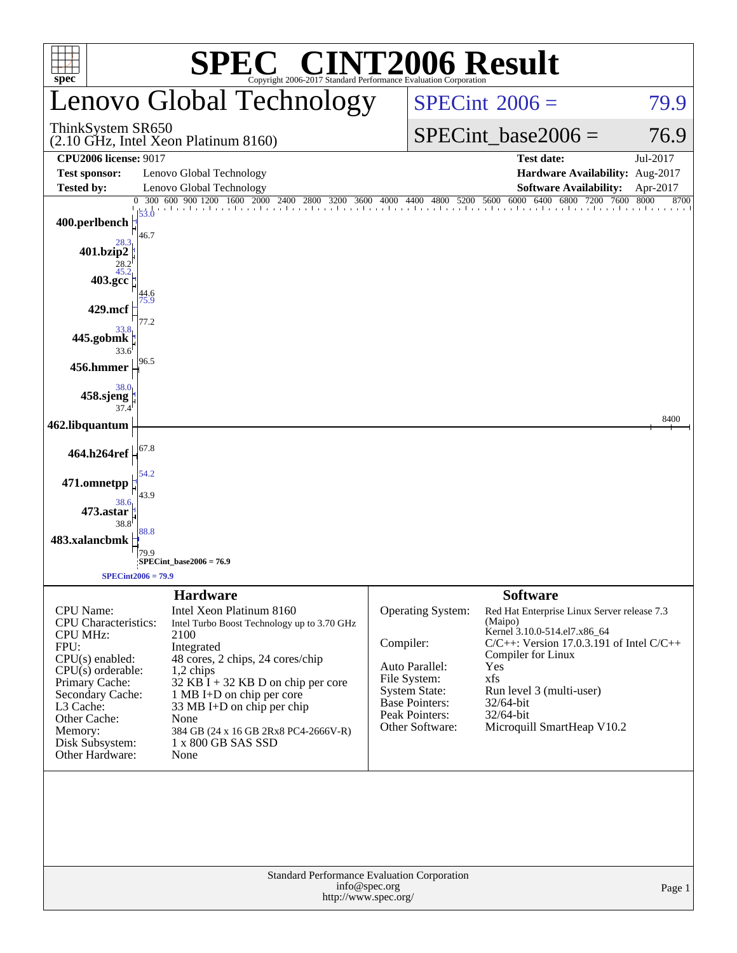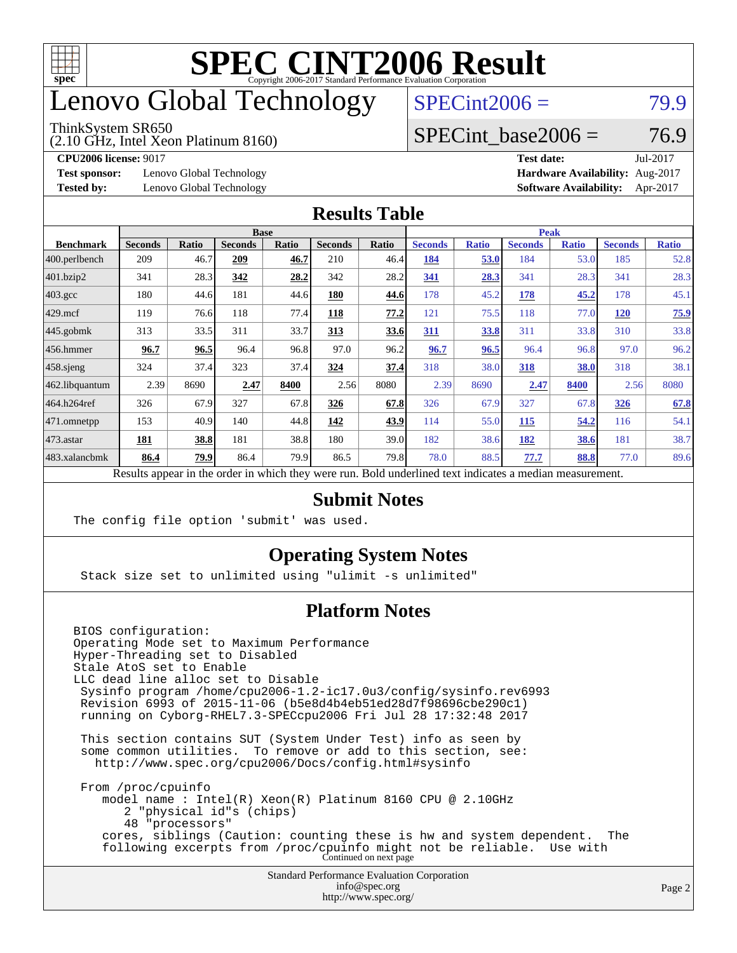

# enovo Global Technology

#### ThinkSystem SR650

(2.10 GHz, Intel Xeon Platinum 8160)

 $SPECint2006 = 79.9$  $SPECint2006 = 79.9$ 

### SPECint base2006 =  $76.9$

**[Test sponsor:](http://www.spec.org/auto/cpu2006/Docs/result-fields.html#Testsponsor)** Lenovo Global Technology **[Hardware Availability:](http://www.spec.org/auto/cpu2006/Docs/result-fields.html#HardwareAvailability)** Aug-2017

**[CPU2006 license:](http://www.spec.org/auto/cpu2006/Docs/result-fields.html#CPU2006license)** 9017 **[Test date:](http://www.spec.org/auto/cpu2006/Docs/result-fields.html#Testdate)** Jul-2017 **[Tested by:](http://www.spec.org/auto/cpu2006/Docs/result-fields.html#Testedby)** Lenovo Global Technology **[Software Availability:](http://www.spec.org/auto/cpu2006/Docs/result-fields.html#SoftwareAvailability)** Apr-2017

#### **[Results Table](http://www.spec.org/auto/cpu2006/Docs/result-fields.html#ResultsTable)**

|                                                                                                          |                |              | <b>Base</b>    |              |                |       |                |              | <b>Peak</b>    |              |                |              |
|----------------------------------------------------------------------------------------------------------|----------------|--------------|----------------|--------------|----------------|-------|----------------|--------------|----------------|--------------|----------------|--------------|
| <b>Benchmark</b>                                                                                         | <b>Seconds</b> | <b>Ratio</b> | <b>Seconds</b> | <b>Ratio</b> | <b>Seconds</b> | Ratio | <b>Seconds</b> | <b>Ratio</b> | <b>Seconds</b> | <b>Ratio</b> | <b>Seconds</b> | <b>Ratio</b> |
| $ 400$ .perlbench                                                                                        | 209            | 46.7         | 209            | 46.7         | 210            | 46.4  | 184            | 53.0         | 184            | 53.0         | 185            | 52.8         |
| $401$ .bzip2                                                                                             | 341            | 28.3         | 342            | 28.2         | 342            | 28.2  | 341            | 28.3         | 341            | 28.3         | 341            | 28.3         |
| $403.\text{gcc}$                                                                                         | 180            | 44.6         | 181            | 44.6         | 180            | 44.6  | 178            | 45.2         | 178            | 45.2         | 178            | 45.1         |
| $429$ mcf                                                                                                | 119            | 76.6         | 118            | 77.4         | 118            | 77.2  | 121            | 75.5         | 118            | 77.0         | <b>120</b>     | 75.9         |
| $445$ .gobmk                                                                                             | 313            | 33.5         | 311            | 33.7         | 313            | 33.6  | 311            | 33.8         | 311            | 33.8         | 310            | 33.8         |
| 456.hmmer                                                                                                | 96.7           | 96.5         | 96.4           | 96.8         | 97.0           | 96.2  | 96.7           | 96.5         | 96.4           | 96.8         | 97.0           | 96.2         |
| $ 458 \text{.}$ sjeng                                                                                    | 324            | 37.4         | 323            | 37.4         | 324            | 37.4  | 318            | 38.0         | 318            | 38.0         | 318            | 38.1         |
| 462.libquantum                                                                                           | 2.39           | 8690         | 2.47           | 8400         | 2.56           | 8080  | 2.39           | 8690         | 2.47           | 8400         | 2.56           | 8080         |
| 464.h264ref                                                                                              | 326            | 67.9         | 327            | 67.8         | 326            | 67.8  | 326            | 67.9         | 327            | 67.8         | 326            | 67.8         |
| $471$ .omnetpp                                                                                           | 153            | 40.9         | 140            | 44.8         | 142            | 43.9  | 114            | 55.0         | 115            | 54.2         | 116            | 54.1         |
| $473$ . astar                                                                                            | 181            | 38.8         | 181            | 38.8         | 180            | 39.0  | 182            | 38.6         | <u>182</u>     | 38.6         | 181            | 38.7         |
| 483.xalancbmk                                                                                            | 86.4           | 79.9         | 86.4           | 79.9         | 86.5           | 79.8  | 78.0           | 88.5         | 77.7           | 88.8         | 77.0           | 89.6         |
| Results appear in the order in which they were run. Bold underlined text indicates a median measurement. |                |              |                |              |                |       |                |              |                |              |                |              |

#### **[Submit Notes](http://www.spec.org/auto/cpu2006/Docs/result-fields.html#SubmitNotes)**

The config file option 'submit' was used.

### **[Operating System Notes](http://www.spec.org/auto/cpu2006/Docs/result-fields.html#OperatingSystemNotes)**

Stack size set to unlimited using "ulimit -s unlimited"

### **[Platform Notes](http://www.spec.org/auto/cpu2006/Docs/result-fields.html#PlatformNotes)**

Standard Performance Evaluation Corporation [info@spec.org](mailto:info@spec.org) BIOS configuration: Operating Mode set to Maximum Performance Hyper-Threading set to Disabled Stale AtoS set to Enable LLC dead line alloc set to Disable Sysinfo program /home/cpu2006-1.2-ic17.0u3/config/sysinfo.rev6993 Revision 6993 of 2015-11-06 (b5e8d4b4eb51ed28d7f98696cbe290c1) running on Cyborg-RHEL7.3-SPECcpu2006 Fri Jul 28 17:32:48 2017 This section contains SUT (System Under Test) info as seen by some common utilities. To remove or add to this section, see: <http://www.spec.org/cpu2006/Docs/config.html#sysinfo> From /proc/cpuinfo model name : Intel(R) Xeon(R) Platinum 8160 CPU @ 2.10GHz 2 "physical id"s (chips) 48 "processors" cores, siblings (Caution: counting these is hw and system dependent. The following excerpts from /proc/cpuinfo might not be reliable. Use with Continued on next page

<http://www.spec.org/>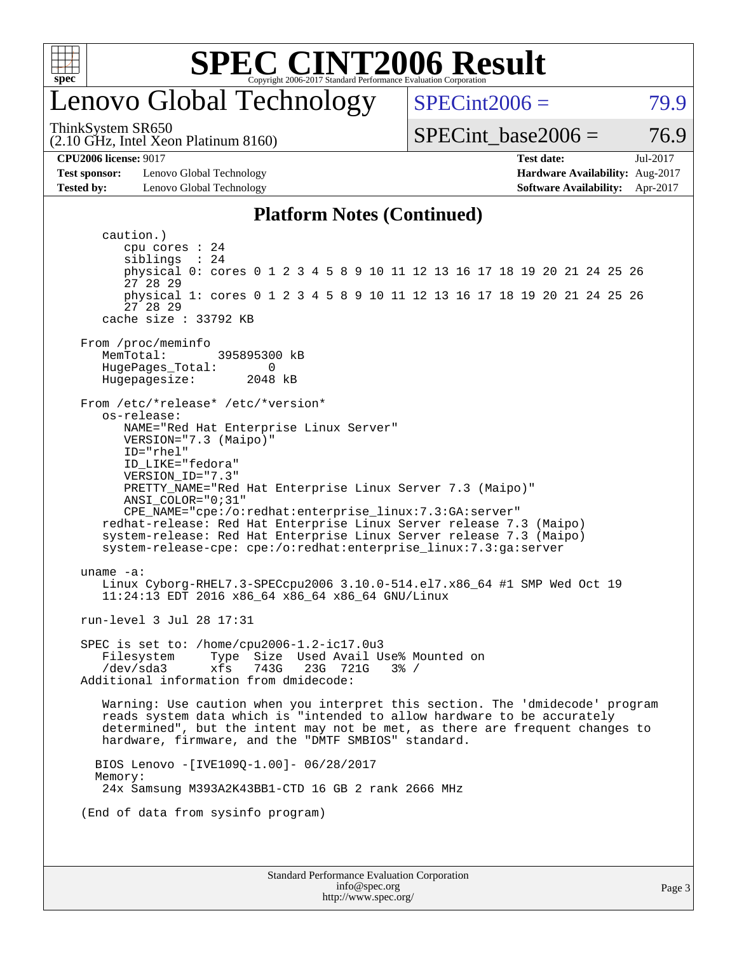

## enovo Global Technology

 $SPECint2006 = 79.9$  $SPECint2006 = 79.9$ 

(2.10 GHz, Intel Xeon Platinum 8160) ThinkSystem SR650

SPECint base2006 =  $76.9$ 

**[CPU2006 license:](http://www.spec.org/auto/cpu2006/Docs/result-fields.html#CPU2006license)** 9017 **[Test date:](http://www.spec.org/auto/cpu2006/Docs/result-fields.html#Testdate)** Jul-2017

**[Test sponsor:](http://www.spec.org/auto/cpu2006/Docs/result-fields.html#Testsponsor)** Lenovo Global Technology **[Hardware Availability:](http://www.spec.org/auto/cpu2006/Docs/result-fields.html#HardwareAvailability)** Aug-2017 **[Tested by:](http://www.spec.org/auto/cpu2006/Docs/result-fields.html#Testedby)** Lenovo Global Technology **[Software Availability:](http://www.spec.org/auto/cpu2006/Docs/result-fields.html#SoftwareAvailability)** Apr-2017

#### **[Platform Notes \(Continued\)](http://www.spec.org/auto/cpu2006/Docs/result-fields.html#PlatformNotes)**

Standard Performance Evaluation Corporation [info@spec.org](mailto:info@spec.org) <http://www.spec.org/> Page 3 caution.) cpu cores : 24 siblings : 24 physical 0: cores 0 1 2 3 4 5 8 9 10 11 12 13 16 17 18 19 20 21 24 25 26 27 28 29 physical 1: cores 0 1 2 3 4 5 8 9 10 11 12 13 16 17 18 19 20 21 24 25 26 27 28 29 cache size : 33792 KB From /proc/meminfo<br>MemTotal: 395895300 kB HugePages\_Total: 0 Hugepagesize: 2048 kB From /etc/\*release\* /etc/\*version\* os-release: NAME="Red Hat Enterprise Linux Server" VERSION="7.3 (Maipo)" ID="rhel" ID\_LIKE="fedora" VERSION\_ID="7.3" PRETTY\_NAME="Red Hat Enterprise Linux Server 7.3 (Maipo)" ANSI\_COLOR="0;31" CPE\_NAME="cpe:/o:redhat:enterprise\_linux:7.3:GA:server" redhat-release: Red Hat Enterprise Linux Server release 7.3 (Maipo) system-release: Red Hat Enterprise Linux Server release 7.3 (Maipo) system-release-cpe: cpe:/o:redhat:enterprise\_linux:7.3:ga:server uname -a: Linux Cyborg-RHEL7.3-SPECcpu2006 3.10.0-514.el7.x86\_64 #1 SMP Wed Oct 19 11:24:13 EDT 2016 x86\_64 x86\_64 x86\_64 GNU/Linux run-level 3 Jul 28 17:31 SPEC is set to: /home/cpu2006-1.2-ic17.0u3 Filesystem Type Size Used Avail Use% Mounted on<br>/dev/sda3 xfs 743G 23G 721G 3% / /dev/sda3 xfs 743G 23G 721G 3% / Additional information from dmidecode: Warning: Use caution when you interpret this section. The 'dmidecode' program reads system data which is "intended to allow hardware to be accurately determined", but the intent may not be met, as there are frequent changes to hardware, firmware, and the "DMTF SMBIOS" standard. BIOS Lenovo -[IVE109Q-1.00]- 06/28/2017 Memory: 24x Samsung M393A2K43BB1-CTD 16 GB 2 rank 2666 MHz (End of data from sysinfo program)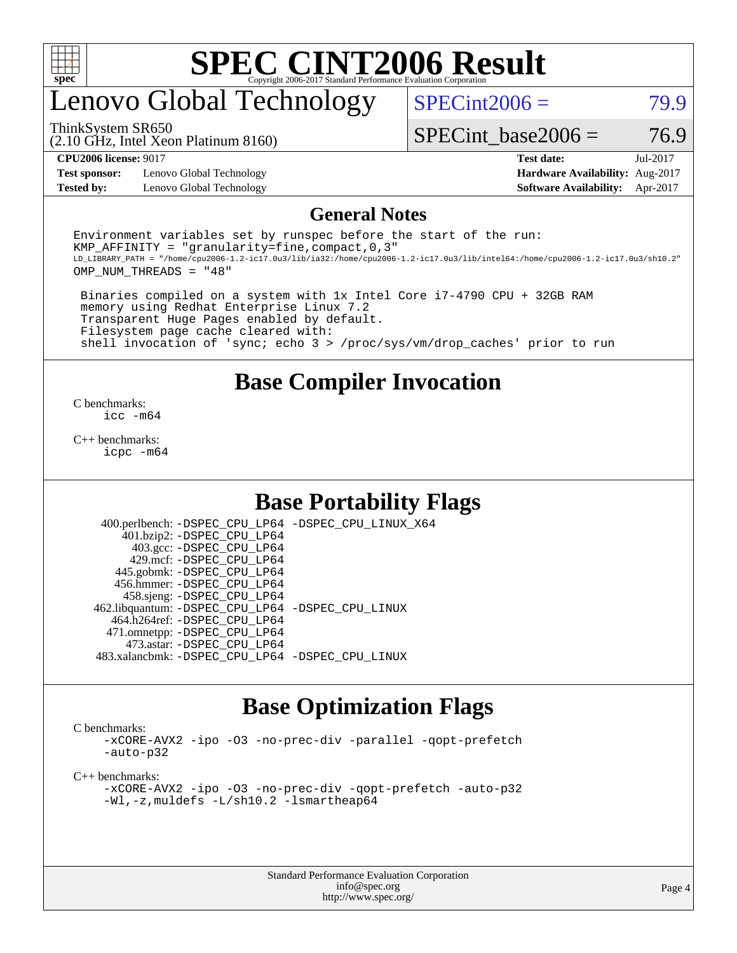

# enovo Global Technology

 $SPECint2006 = 79.9$  $SPECint2006 = 79.9$ 

(2.10 GHz, Intel Xeon Platinum 8160) ThinkSystem SR650

SPECint base2006 =  $76.9$ 

**[Test sponsor:](http://www.spec.org/auto/cpu2006/Docs/result-fields.html#Testsponsor)** Lenovo Global Technology **[Hardware Availability:](http://www.spec.org/auto/cpu2006/Docs/result-fields.html#HardwareAvailability)** Aug-2017 **[Tested by:](http://www.spec.org/auto/cpu2006/Docs/result-fields.html#Testedby)** Lenovo Global Technology **[Software Availability:](http://www.spec.org/auto/cpu2006/Docs/result-fields.html#SoftwareAvailability)** Apr-2017

**[CPU2006 license:](http://www.spec.org/auto/cpu2006/Docs/result-fields.html#CPU2006license)** 9017 **[Test date:](http://www.spec.org/auto/cpu2006/Docs/result-fields.html#Testdate)** Jul-2017

#### **[General Notes](http://www.spec.org/auto/cpu2006/Docs/result-fields.html#GeneralNotes)**

Environment variables set by runspec before the start of the run: KMP AFFINITY = "granularity=fine, compact,  $0,3$ " LD\_LIBRARY\_PATH = "/home/cpu2006-1.2-ic17.0u3/lib/ia32:/home/cpu2006-1.2-ic17.0u3/lib/intel64:/home/cpu2006-1.2-ic17.0u3/sh10.2" OMP\_NUM\_THREADS = "48"

 Binaries compiled on a system with 1x Intel Core i7-4790 CPU + 32GB RAM memory using Redhat Enterprise Linux 7.2 Transparent Huge Pages enabled by default. Filesystem page cache cleared with: shell invocation of 'sync; echo 3 > /proc/sys/vm/drop\_caches' prior to run

### **[Base Compiler Invocation](http://www.spec.org/auto/cpu2006/Docs/result-fields.html#BaseCompilerInvocation)**

[C benchmarks](http://www.spec.org/auto/cpu2006/Docs/result-fields.html#Cbenchmarks): [icc -m64](http://www.spec.org/cpu2006/results/res2017q4/cpu2006-20170918-49781.flags.html#user_CCbase_intel_icc_64bit_bda6cc9af1fdbb0edc3795bac97ada53)

[C++ benchmarks:](http://www.spec.org/auto/cpu2006/Docs/result-fields.html#CXXbenchmarks) [icpc -m64](http://www.spec.org/cpu2006/results/res2017q4/cpu2006-20170918-49781.flags.html#user_CXXbase_intel_icpc_64bit_fc66a5337ce925472a5c54ad6a0de310)

### **[Base Portability Flags](http://www.spec.org/auto/cpu2006/Docs/result-fields.html#BasePortabilityFlags)**

 400.perlbench: [-DSPEC\\_CPU\\_LP64](http://www.spec.org/cpu2006/results/res2017q4/cpu2006-20170918-49781.flags.html#b400.perlbench_basePORTABILITY_DSPEC_CPU_LP64) [-DSPEC\\_CPU\\_LINUX\\_X64](http://www.spec.org/cpu2006/results/res2017q4/cpu2006-20170918-49781.flags.html#b400.perlbench_baseCPORTABILITY_DSPEC_CPU_LINUX_X64) 401.bzip2: [-DSPEC\\_CPU\\_LP64](http://www.spec.org/cpu2006/results/res2017q4/cpu2006-20170918-49781.flags.html#suite_basePORTABILITY401_bzip2_DSPEC_CPU_LP64) 403.gcc: [-DSPEC\\_CPU\\_LP64](http://www.spec.org/cpu2006/results/res2017q4/cpu2006-20170918-49781.flags.html#suite_basePORTABILITY403_gcc_DSPEC_CPU_LP64) 429.mcf: [-DSPEC\\_CPU\\_LP64](http://www.spec.org/cpu2006/results/res2017q4/cpu2006-20170918-49781.flags.html#suite_basePORTABILITY429_mcf_DSPEC_CPU_LP64) 445.gobmk: [-DSPEC\\_CPU\\_LP64](http://www.spec.org/cpu2006/results/res2017q4/cpu2006-20170918-49781.flags.html#suite_basePORTABILITY445_gobmk_DSPEC_CPU_LP64) 456.hmmer: [-DSPEC\\_CPU\\_LP64](http://www.spec.org/cpu2006/results/res2017q4/cpu2006-20170918-49781.flags.html#suite_basePORTABILITY456_hmmer_DSPEC_CPU_LP64) 458.sjeng: [-DSPEC\\_CPU\\_LP64](http://www.spec.org/cpu2006/results/res2017q4/cpu2006-20170918-49781.flags.html#suite_basePORTABILITY458_sjeng_DSPEC_CPU_LP64) 462.libquantum: [-DSPEC\\_CPU\\_LP64](http://www.spec.org/cpu2006/results/res2017q4/cpu2006-20170918-49781.flags.html#suite_basePORTABILITY462_libquantum_DSPEC_CPU_LP64) [-DSPEC\\_CPU\\_LINUX](http://www.spec.org/cpu2006/results/res2017q4/cpu2006-20170918-49781.flags.html#b462.libquantum_baseCPORTABILITY_DSPEC_CPU_LINUX) 464.h264ref: [-DSPEC\\_CPU\\_LP64](http://www.spec.org/cpu2006/results/res2017q4/cpu2006-20170918-49781.flags.html#suite_basePORTABILITY464_h264ref_DSPEC_CPU_LP64) 471.omnetpp: [-DSPEC\\_CPU\\_LP64](http://www.spec.org/cpu2006/results/res2017q4/cpu2006-20170918-49781.flags.html#suite_basePORTABILITY471_omnetpp_DSPEC_CPU_LP64) 473.astar: [-DSPEC\\_CPU\\_LP64](http://www.spec.org/cpu2006/results/res2017q4/cpu2006-20170918-49781.flags.html#suite_basePORTABILITY473_astar_DSPEC_CPU_LP64) 483.xalancbmk: [-DSPEC\\_CPU\\_LP64](http://www.spec.org/cpu2006/results/res2017q4/cpu2006-20170918-49781.flags.html#suite_basePORTABILITY483_xalancbmk_DSPEC_CPU_LP64) [-DSPEC\\_CPU\\_LINUX](http://www.spec.org/cpu2006/results/res2017q4/cpu2006-20170918-49781.flags.html#b483.xalancbmk_baseCXXPORTABILITY_DSPEC_CPU_LINUX)

### **[Base Optimization Flags](http://www.spec.org/auto/cpu2006/Docs/result-fields.html#BaseOptimizationFlags)**

[C benchmarks](http://www.spec.org/auto/cpu2006/Docs/result-fields.html#Cbenchmarks):

[-xCORE-AVX2](http://www.spec.org/cpu2006/results/res2017q4/cpu2006-20170918-49781.flags.html#user_CCbase_f-xCORE-AVX2) [-ipo](http://www.spec.org/cpu2006/results/res2017q4/cpu2006-20170918-49781.flags.html#user_CCbase_f-ipo) [-O3](http://www.spec.org/cpu2006/results/res2017q4/cpu2006-20170918-49781.flags.html#user_CCbase_f-O3) [-no-prec-div](http://www.spec.org/cpu2006/results/res2017q4/cpu2006-20170918-49781.flags.html#user_CCbase_f-no-prec-div) [-parallel](http://www.spec.org/cpu2006/results/res2017q4/cpu2006-20170918-49781.flags.html#user_CCbase_f-parallel) [-qopt-prefetch](http://www.spec.org/cpu2006/results/res2017q4/cpu2006-20170918-49781.flags.html#user_CCbase_f-qopt-prefetch) [-auto-p32](http://www.spec.org/cpu2006/results/res2017q4/cpu2006-20170918-49781.flags.html#user_CCbase_f-auto-p32)

[C++ benchmarks:](http://www.spec.org/auto/cpu2006/Docs/result-fields.html#CXXbenchmarks)

[-xCORE-AVX2](http://www.spec.org/cpu2006/results/res2017q4/cpu2006-20170918-49781.flags.html#user_CXXbase_f-xCORE-AVX2) [-ipo](http://www.spec.org/cpu2006/results/res2017q4/cpu2006-20170918-49781.flags.html#user_CXXbase_f-ipo) [-O3](http://www.spec.org/cpu2006/results/res2017q4/cpu2006-20170918-49781.flags.html#user_CXXbase_f-O3) [-no-prec-div](http://www.spec.org/cpu2006/results/res2017q4/cpu2006-20170918-49781.flags.html#user_CXXbase_f-no-prec-div) [-qopt-prefetch](http://www.spec.org/cpu2006/results/res2017q4/cpu2006-20170918-49781.flags.html#user_CXXbase_f-qopt-prefetch) [-auto-p32](http://www.spec.org/cpu2006/results/res2017q4/cpu2006-20170918-49781.flags.html#user_CXXbase_f-auto-p32) [-Wl,-z,muldefs](http://www.spec.org/cpu2006/results/res2017q4/cpu2006-20170918-49781.flags.html#user_CXXbase_link_force_multiple1_74079c344b956b9658436fd1b6dd3a8a) [-L/sh10.2 -lsmartheap64](http://www.spec.org/cpu2006/results/res2017q4/cpu2006-20170918-49781.flags.html#user_CXXbase_SmartHeap64_63911d860fc08c15fa1d5bf319b9d8d5)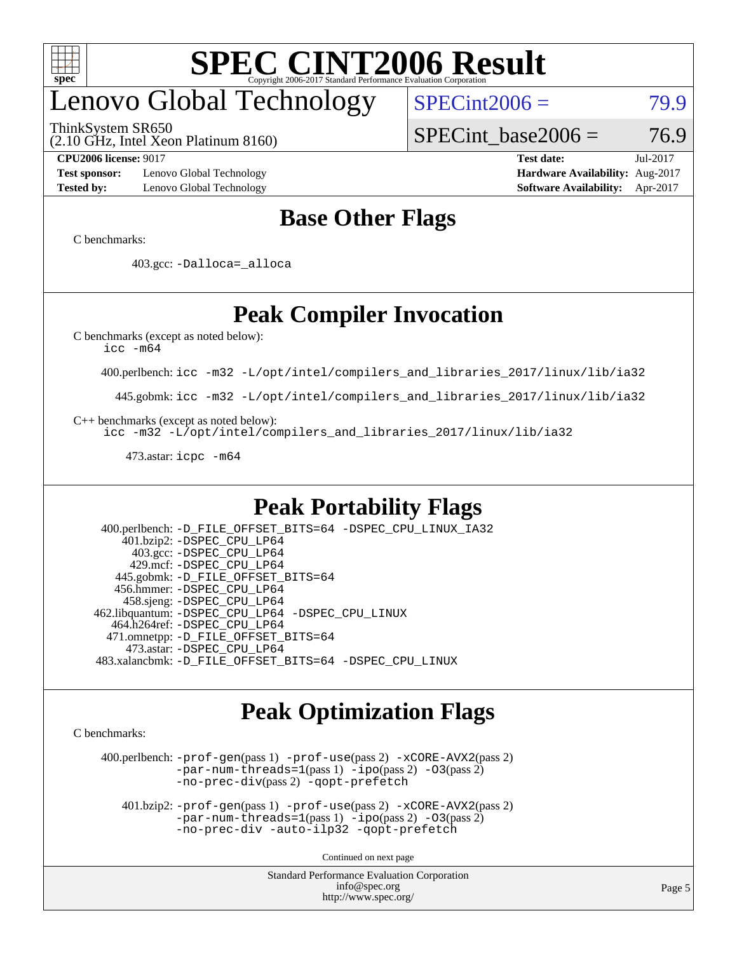

# enovo Global Technology

ThinkSystem SR650

 $SPECint2006 = 79.9$  $SPECint2006 = 79.9$ 

(2.10 GHz, Intel Xeon Platinum 8160)

**[Test sponsor:](http://www.spec.org/auto/cpu2006/Docs/result-fields.html#Testsponsor)** Lenovo Global Technology **[Hardware Availability:](http://www.spec.org/auto/cpu2006/Docs/result-fields.html#HardwareAvailability)** Aug-2017

SPECint base2006 =  $76.9$ **[CPU2006 license:](http://www.spec.org/auto/cpu2006/Docs/result-fields.html#CPU2006license)** 9017 **[Test date:](http://www.spec.org/auto/cpu2006/Docs/result-fields.html#Testdate)** Jul-2017

**[Tested by:](http://www.spec.org/auto/cpu2006/Docs/result-fields.html#Testedby)** Lenovo Global Technology **[Software Availability:](http://www.spec.org/auto/cpu2006/Docs/result-fields.html#SoftwareAvailability)** Apr-2017

### **[Base Other Flags](http://www.spec.org/auto/cpu2006/Docs/result-fields.html#BaseOtherFlags)**

[C benchmarks](http://www.spec.org/auto/cpu2006/Docs/result-fields.html#Cbenchmarks):

403.gcc: [-Dalloca=\\_alloca](http://www.spec.org/cpu2006/results/res2017q4/cpu2006-20170918-49781.flags.html#b403.gcc_baseEXTRA_CFLAGS_Dalloca_be3056838c12de2578596ca5467af7f3)

## **[Peak Compiler Invocation](http://www.spec.org/auto/cpu2006/Docs/result-fields.html#PeakCompilerInvocation)**

[C benchmarks \(except as noted below\)](http://www.spec.org/auto/cpu2006/Docs/result-fields.html#Cbenchmarksexceptasnotedbelow):

[icc -m64](http://www.spec.org/cpu2006/results/res2017q4/cpu2006-20170918-49781.flags.html#user_CCpeak_intel_icc_64bit_bda6cc9af1fdbb0edc3795bac97ada53)

400.perlbench: [icc -m32 -L/opt/intel/compilers\\_and\\_libraries\\_2017/linux/lib/ia32](http://www.spec.org/cpu2006/results/res2017q4/cpu2006-20170918-49781.flags.html#user_peakCCLD400_perlbench_intel_icc_c29f3ff5a7ed067b11e4ec10a03f03ae)

445.gobmk: [icc -m32 -L/opt/intel/compilers\\_and\\_libraries\\_2017/linux/lib/ia32](http://www.spec.org/cpu2006/results/res2017q4/cpu2006-20170918-49781.flags.html#user_peakCCLD445_gobmk_intel_icc_c29f3ff5a7ed067b11e4ec10a03f03ae)

[C++ benchmarks \(except as noted below\):](http://www.spec.org/auto/cpu2006/Docs/result-fields.html#CXXbenchmarksexceptasnotedbelow)

[icc -m32 -L/opt/intel/compilers\\_and\\_libraries\\_2017/linux/lib/ia32](http://www.spec.org/cpu2006/results/res2017q4/cpu2006-20170918-49781.flags.html#user_CXXpeak_intel_icc_c29f3ff5a7ed067b11e4ec10a03f03ae)

473.astar: [icpc -m64](http://www.spec.org/cpu2006/results/res2017q4/cpu2006-20170918-49781.flags.html#user_peakCXXLD473_astar_intel_icpc_64bit_fc66a5337ce925472a5c54ad6a0de310)

### **[Peak Portability Flags](http://www.spec.org/auto/cpu2006/Docs/result-fields.html#PeakPortabilityFlags)**

 400.perlbench: [-D\\_FILE\\_OFFSET\\_BITS=64](http://www.spec.org/cpu2006/results/res2017q4/cpu2006-20170918-49781.flags.html#user_peakPORTABILITY400_perlbench_file_offset_bits_64_438cf9856305ebd76870a2c6dc2689ab) [-DSPEC\\_CPU\\_LINUX\\_IA32](http://www.spec.org/cpu2006/results/res2017q4/cpu2006-20170918-49781.flags.html#b400.perlbench_peakCPORTABILITY_DSPEC_CPU_LINUX_IA32) 401.bzip2: [-DSPEC\\_CPU\\_LP64](http://www.spec.org/cpu2006/results/res2017q4/cpu2006-20170918-49781.flags.html#suite_peakPORTABILITY401_bzip2_DSPEC_CPU_LP64) 403.gcc: [-DSPEC\\_CPU\\_LP64](http://www.spec.org/cpu2006/results/res2017q4/cpu2006-20170918-49781.flags.html#suite_peakPORTABILITY403_gcc_DSPEC_CPU_LP64) 429.mcf: [-DSPEC\\_CPU\\_LP64](http://www.spec.org/cpu2006/results/res2017q4/cpu2006-20170918-49781.flags.html#suite_peakPORTABILITY429_mcf_DSPEC_CPU_LP64) 445.gobmk: [-D\\_FILE\\_OFFSET\\_BITS=64](http://www.spec.org/cpu2006/results/res2017q4/cpu2006-20170918-49781.flags.html#user_peakPORTABILITY445_gobmk_file_offset_bits_64_438cf9856305ebd76870a2c6dc2689ab) 456.hmmer: [-DSPEC\\_CPU\\_LP64](http://www.spec.org/cpu2006/results/res2017q4/cpu2006-20170918-49781.flags.html#suite_peakPORTABILITY456_hmmer_DSPEC_CPU_LP64) 458.sjeng: [-DSPEC\\_CPU\\_LP64](http://www.spec.org/cpu2006/results/res2017q4/cpu2006-20170918-49781.flags.html#suite_peakPORTABILITY458_sjeng_DSPEC_CPU_LP64) 462.libquantum: [-DSPEC\\_CPU\\_LP64](http://www.spec.org/cpu2006/results/res2017q4/cpu2006-20170918-49781.flags.html#suite_peakPORTABILITY462_libquantum_DSPEC_CPU_LP64) [-DSPEC\\_CPU\\_LINUX](http://www.spec.org/cpu2006/results/res2017q4/cpu2006-20170918-49781.flags.html#b462.libquantum_peakCPORTABILITY_DSPEC_CPU_LINUX) 464.h264ref: [-DSPEC\\_CPU\\_LP64](http://www.spec.org/cpu2006/results/res2017q4/cpu2006-20170918-49781.flags.html#suite_peakPORTABILITY464_h264ref_DSPEC_CPU_LP64) 471.omnetpp: [-D\\_FILE\\_OFFSET\\_BITS=64](http://www.spec.org/cpu2006/results/res2017q4/cpu2006-20170918-49781.flags.html#user_peakPORTABILITY471_omnetpp_file_offset_bits_64_438cf9856305ebd76870a2c6dc2689ab) 473.astar: [-DSPEC\\_CPU\\_LP64](http://www.spec.org/cpu2006/results/res2017q4/cpu2006-20170918-49781.flags.html#suite_peakPORTABILITY473_astar_DSPEC_CPU_LP64) 483.xalancbmk: [-D\\_FILE\\_OFFSET\\_BITS=64](http://www.spec.org/cpu2006/results/res2017q4/cpu2006-20170918-49781.flags.html#user_peakPORTABILITY483_xalancbmk_file_offset_bits_64_438cf9856305ebd76870a2c6dc2689ab) [-DSPEC\\_CPU\\_LINUX](http://www.spec.org/cpu2006/results/res2017q4/cpu2006-20170918-49781.flags.html#b483.xalancbmk_peakCXXPORTABILITY_DSPEC_CPU_LINUX)

### **[Peak Optimization Flags](http://www.spec.org/auto/cpu2006/Docs/result-fields.html#PeakOptimizationFlags)**

[C benchmarks](http://www.spec.org/auto/cpu2006/Docs/result-fields.html#Cbenchmarks):

 400.perlbench: [-prof-gen](http://www.spec.org/cpu2006/results/res2017q4/cpu2006-20170918-49781.flags.html#user_peakPASS1_CFLAGSPASS1_LDCFLAGS400_perlbench_prof_gen_e43856698f6ca7b7e442dfd80e94a8fc)(pass 1) [-prof-use](http://www.spec.org/cpu2006/results/res2017q4/cpu2006-20170918-49781.flags.html#user_peakPASS2_CFLAGSPASS2_LDCFLAGS400_perlbench_prof_use_bccf7792157ff70d64e32fe3e1250b55)(pass 2) [-xCORE-AVX2](http://www.spec.org/cpu2006/results/res2017q4/cpu2006-20170918-49781.flags.html#user_peakPASS2_CFLAGSPASS2_LDCFLAGS400_perlbench_f-xCORE-AVX2)(pass 2) [-par-num-threads=1](http://www.spec.org/cpu2006/results/res2017q4/cpu2006-20170918-49781.flags.html#user_peakPASS1_CFLAGSPASS1_LDCFLAGS400_perlbench_par_num_threads_786a6ff141b4e9e90432e998842df6c2)(pass 1) [-ipo](http://www.spec.org/cpu2006/results/res2017q4/cpu2006-20170918-49781.flags.html#user_peakPASS2_CFLAGSPASS2_LDCFLAGS400_perlbench_f-ipo)(pass 2) [-O3](http://www.spec.org/cpu2006/results/res2017q4/cpu2006-20170918-49781.flags.html#user_peakPASS2_CFLAGSPASS2_LDCFLAGS400_perlbench_f-O3)(pass 2) [-no-prec-div](http://www.spec.org/cpu2006/results/res2017q4/cpu2006-20170918-49781.flags.html#user_peakPASS2_CFLAGSPASS2_LDCFLAGS400_perlbench_f-no-prec-div)(pass 2) [-qopt-prefetch](http://www.spec.org/cpu2006/results/res2017q4/cpu2006-20170918-49781.flags.html#user_peakCOPTIMIZE400_perlbench_f-qopt-prefetch)

 401.bzip2: [-prof-gen](http://www.spec.org/cpu2006/results/res2017q4/cpu2006-20170918-49781.flags.html#user_peakPASS1_CFLAGSPASS1_LDCFLAGS401_bzip2_prof_gen_e43856698f6ca7b7e442dfd80e94a8fc)(pass 1) [-prof-use](http://www.spec.org/cpu2006/results/res2017q4/cpu2006-20170918-49781.flags.html#user_peakPASS2_CFLAGSPASS2_LDCFLAGS401_bzip2_prof_use_bccf7792157ff70d64e32fe3e1250b55)(pass 2) [-xCORE-AVX2](http://www.spec.org/cpu2006/results/res2017q4/cpu2006-20170918-49781.flags.html#user_peakPASS2_CFLAGSPASS2_LDCFLAGS401_bzip2_f-xCORE-AVX2)(pass 2)  $-par-num-threads=1(pass 1) -ipo(pass 2) -O3(pass 2)$  $-par-num-threads=1(pass 1) -ipo(pass 2) -O3(pass 2)$  $-par-num-threads=1(pass 1) -ipo(pass 2) -O3(pass 2)$  $-par-num-threads=1(pass 1) -ipo(pass 2) -O3(pass 2)$  $-par-num-threads=1(pass 1) -ipo(pass 2) -O3(pass 2)$  $-par-num-threads=1(pass 1) -ipo(pass 2) -O3(pass 2)$ [-no-prec-div](http://www.spec.org/cpu2006/results/res2017q4/cpu2006-20170918-49781.flags.html#user_peakCOPTIMIZEPASS2_CFLAGSPASS2_LDCFLAGS401_bzip2_f-no-prec-div) [-auto-ilp32](http://www.spec.org/cpu2006/results/res2017q4/cpu2006-20170918-49781.flags.html#user_peakCOPTIMIZE401_bzip2_f-auto-ilp32) [-qopt-prefetch](http://www.spec.org/cpu2006/results/res2017q4/cpu2006-20170918-49781.flags.html#user_peakCOPTIMIZE401_bzip2_f-qopt-prefetch)

Continued on next page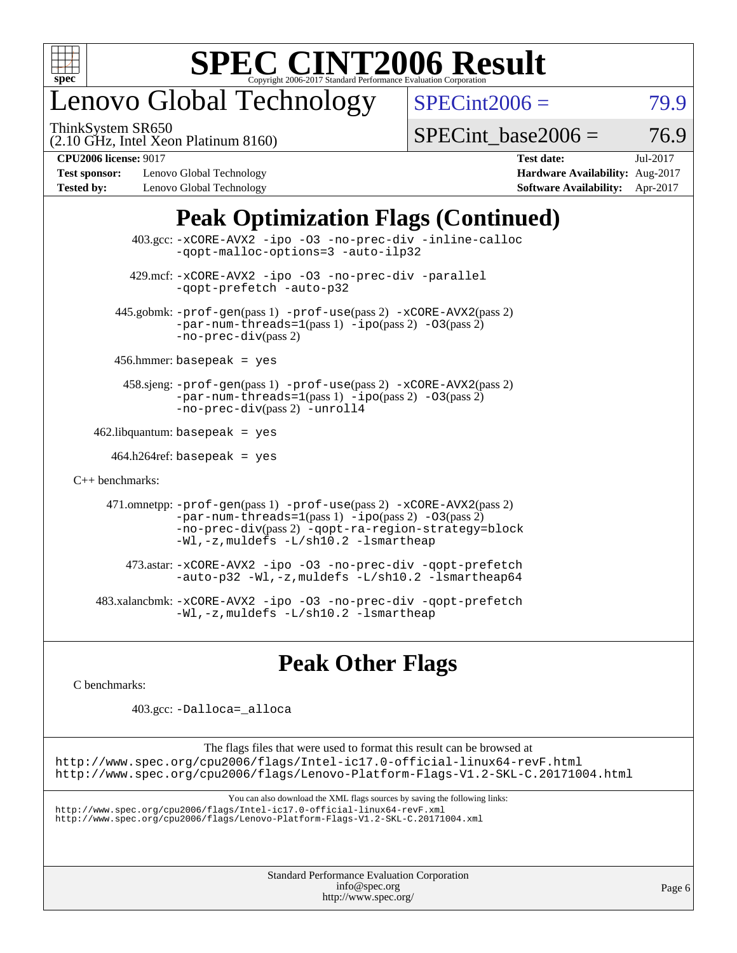

# enovo Global Technology

ThinkSystem SR650

 $SPECint2006 = 79.9$  $SPECint2006 = 79.9$ 

(2.10 GHz, Intel Xeon Platinum 8160)

 $SPECTnt$  base2006 = 76.9

**[Test sponsor:](http://www.spec.org/auto/cpu2006/Docs/result-fields.html#Testsponsor)** Lenovo Global Technology **[Hardware Availability:](http://www.spec.org/auto/cpu2006/Docs/result-fields.html#HardwareAvailability)** Aug-2017 **[Tested by:](http://www.spec.org/auto/cpu2006/Docs/result-fields.html#Testedby)** Lenovo Global Technology **[Software Availability:](http://www.spec.org/auto/cpu2006/Docs/result-fields.html#SoftwareAvailability)** Apr-2017

**[CPU2006 license:](http://www.spec.org/auto/cpu2006/Docs/result-fields.html#CPU2006license)** 9017 **[Test date:](http://www.spec.org/auto/cpu2006/Docs/result-fields.html#Testdate)** Jul-2017

## **[Peak Optimization Flags \(Continued\)](http://www.spec.org/auto/cpu2006/Docs/result-fields.html#PeakOptimizationFlags)**

|                      | 403.gcc: -xCORE-AVX2 -ipo -03 -no-prec-div -inline-calloc<br>-gopt-malloc-options=3 -auto-ilp32                                                                                                                               |
|----------------------|-------------------------------------------------------------------------------------------------------------------------------------------------------------------------------------------------------------------------------|
|                      | 429.mcf: -xCORE-AVX2 -ipo -03 -no-prec-div -parallel<br>-gopt-prefetch -auto-p32                                                                                                                                              |
|                      | $445$ .gobmk: -prof-qen(pass 1) -prof-use(pass 2) -xCORE-AVX2(pass 2)<br>$-par-num-threads=1(pass 1) -ipo(pass 2) -03(pass 2)$<br>$-no-prec-div(pass 2)$                                                                      |
|                      | $456.$ hmmer: basepeak = yes                                                                                                                                                                                                  |
|                      | $458 \text{.}$ sjeng: $-\text{prof-gen(pass 1)} - \text{prof-use(pass 2)} - \text{xCORE-AVX2(pass 2)}$<br>$-par-num-threads=1(pass 1) -ipo(pass 2) -03(pass 2)$<br>-no-prec-div(pass 2) -unroll4                              |
|                      | $462$ .libquantum: basepeak = yes                                                                                                                                                                                             |
|                      | $464.h264$ ref: basepeak = yes                                                                                                                                                                                                |
| $C_{++}$ benchmarks: |                                                                                                                                                                                                                               |
|                      | 471.omnetpp: -prof-gen(pass 1) -prof-use(pass 2) -xCORE-AVX2(pass 2)<br>$-par-num-threads=1(pass 1) -ipo(pass 2) -03(pass 2)$<br>-no-prec-div(pass 2) -qopt-ra-region-strategy=block<br>-Wl,-z, muldefs -L/sh10.2 -lsmartheap |
|                      | 473.astar: -xCORE-AVX2 -ipo -03 -no-prec-div -qopt-prefetch<br>$-$ auto-p32 -Wl,-z, muldefs -L/sh10.2 -lsmartheap64                                                                                                           |
|                      | 483.xalancbmk: -xCORE-AVX2 -ipo -03 -no-prec-div -qopt-prefetch<br>$-Wl$ , $-z$ , muldefs $-L/\nabla L$ , 2 $-l$ smartheap                                                                                                    |

## **[Peak Other Flags](http://www.spec.org/auto/cpu2006/Docs/result-fields.html#PeakOtherFlags)**

[C benchmarks](http://www.spec.org/auto/cpu2006/Docs/result-fields.html#Cbenchmarks):

403.gcc: [-Dalloca=\\_alloca](http://www.spec.org/cpu2006/results/res2017q4/cpu2006-20170918-49781.flags.html#b403.gcc_peakEXTRA_CFLAGS_Dalloca_be3056838c12de2578596ca5467af7f3)

The flags files that were used to format this result can be browsed at <http://www.spec.org/cpu2006/flags/Intel-ic17.0-official-linux64-revF.html> <http://www.spec.org/cpu2006/flags/Lenovo-Platform-Flags-V1.2-SKL-C.20171004.html>

You can also download the XML flags sources by saving the following links:

<http://www.spec.org/cpu2006/flags/Intel-ic17.0-official-linux64-revF.xml> <http://www.spec.org/cpu2006/flags/Lenovo-Platform-Flags-V1.2-SKL-C.20171004.xml>